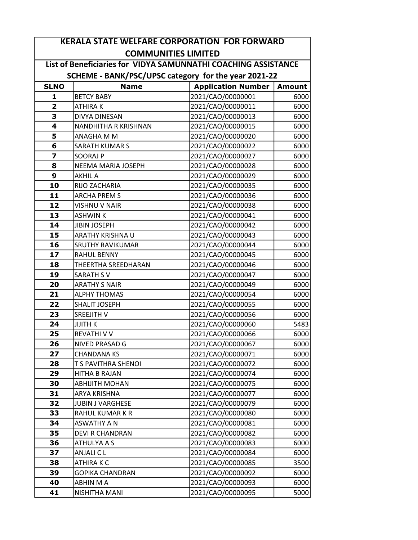|                         | <b>KERALA STATE WELFARE CORPORATION FOR FORWARD</b>            |                           |               |  |
|-------------------------|----------------------------------------------------------------|---------------------------|---------------|--|
|                         | <b>COMMUNITIES LIMITED</b>                                     |                           |               |  |
|                         | List of Beneficiaries for VIDYA SAMUNNATHI COACHING ASSISTANCE |                           |               |  |
|                         | SCHEME - BANK/PSC/UPSC category for the year 2021-22           |                           |               |  |
| <b>SLNO</b>             | <b>Name</b>                                                    | <b>Application Number</b> | <b>Amount</b> |  |
| 1                       | <b>BETCY BABY</b>                                              | 2021/CAO/00000001         | 6000          |  |
| $\overline{2}$          | <b>ATHIRAK</b>                                                 | 2021/CAO/00000011         | 6000          |  |
| 3                       | DIVYA DINESAN                                                  | 2021/CAO/00000013         | 6000          |  |
| $\overline{\mathbf{4}}$ | <b>NANDHITHA R KRISHNAN</b>                                    | 2021/CAO/00000015         | 6000          |  |
| 5                       | ANAGHA M M                                                     | 2021/CAO/00000020         | 6000          |  |
| 6                       | <b>SARATH KUMAR S</b>                                          | 2021/CAO/00000022         | 6000          |  |
| $\overline{\mathbf{z}}$ | <b>SOORAJ P</b>                                                | 2021/CAO/00000027         | 6000          |  |
| 8                       | NEEMA MARIA JOSEPH                                             | 2021/CAO/00000028         | 6000          |  |
| 9                       | <b>AKHIL A</b>                                                 | 2021/CAO/00000029         | 6000          |  |
| 10                      | RIJO ZACHARIA                                                  | 2021/CAO/00000035         | 6000          |  |
| 11                      | <b>ARCHA PREM S</b>                                            | 2021/CAO/00000036         | 6000          |  |
| 12                      | <b>VISHNU V NAIR</b>                                           | 2021/CAO/00000038         | 6000          |  |
| 13                      | <b>ASHWIN K</b>                                                | 2021/CAO/00000041         | 6000          |  |
| 14                      | <b>JIBIN JOSEPH</b>                                            | 2021/CAO/00000042         | 6000          |  |
| 15                      | ARATHY KRISHNA U                                               | 2021/CAO/00000043         | 6000          |  |
| 16                      | <b>SRUTHY RAVIKUMAR</b>                                        | 2021/CAO/00000044         | 6000          |  |
| 17                      | <b>RAHUL BENNY</b>                                             | 2021/CAO/00000045         | 6000          |  |
| 18                      | <b>THEERTHA SREEDHARAN</b>                                     | 2021/CAO/00000046         | 6000          |  |
| 19                      | <b>SARATH SV</b>                                               | 2021/CAO/00000047         | 6000          |  |
| 20                      | <b>ARATHY S NAIR</b>                                           | 2021/CAO/00000049         | 6000          |  |
| 21                      | <b>ALPHY THOMAS</b>                                            | 2021/CAO/00000054         | 6000          |  |
| 22                      | <b>SHALIT JOSEPH</b>                                           | 2021/CAO/00000055         | 6000          |  |
| 23                      | <b>SREEJITH V</b>                                              | 2021/CAO/00000056         | 6000          |  |
| 24                      | <b>JIJITH K</b>                                                | 2021/CAO/00000060         | 5483          |  |
| 25                      | <b>REVATHI V V</b>                                             | 2021/CAO/00000066         | 6000          |  |
| 26                      | NIVED PRASAD G                                                 | 2021/CAO/00000067         | 6000          |  |
| 27                      | <b>CHANDANA KS</b>                                             | 2021/CAO/00000071         | 6000          |  |
| 28                      | <b>T S PAVITHRA SHENOI</b>                                     | 2021/CAO/00000072         | 6000          |  |
| 29                      | HITHA B RAJAN                                                  | 2021/CAO/00000074         | 6000          |  |
| 30                      | <b>ABHIJITH MOHAN</b>                                          | 2021/CAO/00000075         | 6000          |  |
| 31                      | ARYA KRISHNA                                                   | 2021/CAO/00000077         | 6000          |  |
| 32                      | <b>JUBIN J VARGHESE</b>                                        | 2021/CAO/00000079         | 6000          |  |
| 33                      | RAHUL KUMAR K R                                                | 2021/CAO/00000080         | 6000          |  |
| 34                      | <b>ASWATHY A N</b>                                             | 2021/CAO/00000081         | 6000          |  |
| 35                      | <b>DEVI R CHANDRAN</b>                                         | 2021/CAO/00000082         | 6000          |  |
| 36                      | ATHULYA A S                                                    | 2021/CAO/00000083         | 6000          |  |
| 37                      | ANJALI C L                                                     | 2021/CAO/00000084         | 6000          |  |
| 38                      | <b>ATHIRAKC</b>                                                | 2021/CAO/00000085         | 3500          |  |
| 39                      | <b>GOPIKA CHANDRAN</b>                                         | 2021/CAO/00000092         | 6000          |  |
| 40                      | ABHIN M A                                                      | 2021/CAO/00000093         | 6000          |  |
| 41                      | NISHITHA MANI                                                  | 2021/CAO/00000095         | 5000          |  |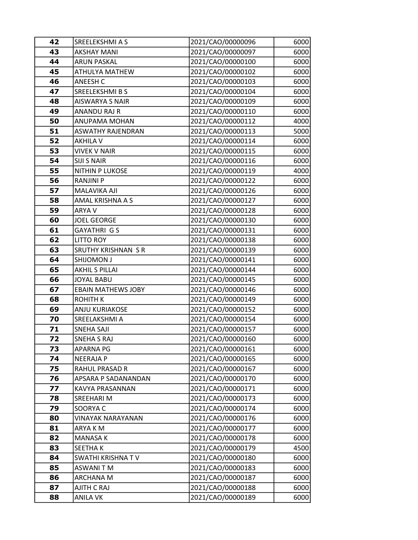| 42 | SREELEKSHMI A S           | 2021/CAO/00000096 | 6000 |
|----|---------------------------|-------------------|------|
| 43 | <b>AKSHAY MANI</b>        | 2021/CAO/00000097 | 6000 |
| 44 | <b>ARUN PASKAL</b>        | 2021/CAO/00000100 | 6000 |
| 45 | ATHULYA MATHEW            | 2021/CAO/00000102 | 6000 |
| 46 | <b>ANEESH C</b>           | 2021/CAO/00000103 | 6000 |
| 47 | SREELEKSHMI B S           | 2021/CAO/00000104 | 6000 |
| 48 | <b>AISWARYA S NAIR</b>    | 2021/CAO/00000109 | 6000 |
| 49 | ANANDU RAJ R              | 2021/CAO/00000110 | 6000 |
| 50 | ANUPAMA MOHAN             | 2021/CAO/00000112 | 4000 |
| 51 | <b>ASWATHY RAJENDRAN</b>  | 2021/CAO/00000113 | 5000 |
| 52 | <b>AKHILA V</b>           | 2021/CAO/00000114 | 6000 |
| 53 | <b>VIVEK V NAIR</b>       | 2021/CAO/00000115 | 6000 |
| 54 | <b>SIJI S NAIR</b>        | 2021/CAO/00000116 | 6000 |
| 55 | <b>NITHIN P LUKOSE</b>    | 2021/CAO/00000119 | 4000 |
| 56 | <b>RANJINI P</b>          | 2021/CAO/00000122 | 6000 |
| 57 | MALAVIKA AJI              | 2021/CAO/00000126 | 6000 |
| 58 | AMAL KRISHNA A S          | 2021/CAO/00000127 | 6000 |
| 59 | ARYA V                    | 2021/CAO/00000128 | 6000 |
| 60 | <b>JOEL GEORGE</b>        | 2021/CAO/00000130 | 6000 |
| 61 | GAYATHRI G S              | 2021/CAO/00000131 | 6000 |
| 62 | <b>LITTO ROY</b>          | 2021/CAO/00000138 | 6000 |
| 63 | SRUTHY KRISHNAN SR        | 2021/CAO/00000139 | 6000 |
| 64 | <b>SHIJOMON J</b>         | 2021/CAO/00000141 | 6000 |
| 65 | <b>AKHIL S PILLAI</b>     | 2021/CAO/00000144 | 6000 |
| 66 | <b>JOYAL BABU</b>         | 2021/CAO/00000145 | 6000 |
| 67 | <b>EBAIN MATHEWS JOBY</b> | 2021/CAO/00000146 | 6000 |
| 68 | ROHITH K                  | 2021/CAO/00000149 | 6000 |
| 69 | <b>ANJU KURIAKOSE</b>     | 2021/CAO/00000152 | 6000 |
| 70 | SREELAKSHMI A             | 2021/CAO/00000154 | 6000 |
| 71 | SNEHA SAJI                | 2021/CAO/00000157 | 6000 |
| 72 | <b>SNEHA S RAJ</b>        | 2021/CAO/00000160 | 6000 |
| 73 | <b>APARNA PG</b>          | 2021/CAO/00000161 | 6000 |
| 74 | NEERAJA P                 | 2021/CAO/00000165 | 6000 |
| 75 | RAHUL PRASAD R            | 2021/CAO/00000167 | 6000 |
| 76 | APSARA P SADANANDAN       | 2021/CAO/00000170 | 6000 |
| 77 | KAVYA PRASANNAN           | 2021/CAO/00000171 | 6000 |
| 78 | SREEHARI M                | 2021/CAO/00000173 | 6000 |
| 79 | SOORYA C                  | 2021/CAO/00000174 | 6000 |
| 80 | VINAYAK NARAYANAN         | 2021/CAO/00000176 | 6000 |
| 81 | ARYA K M                  | 2021/CAO/00000177 | 6000 |
| 82 | <b>MANASA K</b>           | 2021/CAO/00000178 | 6000 |
| 83 | SEETHA K                  | 2021/CAO/00000179 | 4500 |
| 84 | <b>SWATHI KRISHNA TV</b>  | 2021/CAO/00000180 | 6000 |
| 85 | ASWANI T M                | 2021/CAO/00000183 | 6000 |
| 86 | ARCHANA M                 | 2021/CAO/00000187 | 6000 |
| 87 | AJITH C RAJ               | 2021/CAO/00000188 | 6000 |
| 88 | <b>ANILA VK</b>           | 2021/CAO/00000189 | 6000 |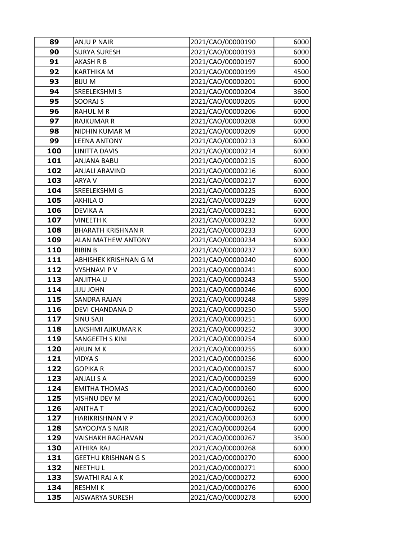| 89  | <b>ANJU P NAIR</b>         | 2021/CAO/00000190 | 6000 |
|-----|----------------------------|-------------------|------|
| 90  | <b>SURYA SURESH</b>        | 2021/CAO/00000193 | 6000 |
| 91  | <b>AKASH R B</b>           | 2021/CAO/00000197 | 6000 |
| 92  | <b>KARTHIKA M</b>          | 2021/CAO/00000199 | 4500 |
| 93  | <b>BIJUM</b>               | 2021/CAO/00000201 | 6000 |
| 94  | SREELEKSHMI S              | 2021/CAO/00000204 | 3600 |
| 95  | <b>SOORAJ S</b>            | 2021/CAO/00000205 | 6000 |
| 96  | RAHUL M R                  | 2021/CAO/00000206 | 6000 |
| 97  | <b>RAJKUMAR R</b>          | 2021/CAO/00000208 | 6000 |
| 98  | NIDHIN KUMAR M             | 2021/CAO/00000209 | 6000 |
| 99  | <b>LEENA ANTONY</b>        | 2021/CAO/00000213 | 6000 |
| 100 | <b>LINITTA DAVIS</b>       | 2021/CAO/00000214 | 6000 |
| 101 | ANJANA BABU                | 2021/CAO/00000215 | 6000 |
| 102 | <b>ANJALI ARAVIND</b>      | 2021/CAO/00000216 | 6000 |
| 103 | ARYA V                     | 2021/CAO/00000217 | 6000 |
| 104 | SREELEKSHMI G              | 2021/CAO/00000225 | 6000 |
| 105 | AKHILA O                   | 2021/CAO/00000229 | 6000 |
| 106 | DEVIKA A                   | 2021/CAO/00000231 | 6000 |
| 107 | <b>VINEETH K</b>           | 2021/CAO/00000232 | 6000 |
| 108 | <b>BHARATH KRISHNAN R</b>  | 2021/CAO/00000233 | 6000 |
| 109 | <b>ALAN MATHEW ANTONY</b>  | 2021/CAO/00000234 | 6000 |
| 110 | <b>BIBIN B</b>             | 2021/CAO/00000237 | 6000 |
| 111 | ABHISHEK KRISHNAN G M      | 2021/CAO/00000240 | 6000 |
| 112 | <b>VYSHNAVI P V</b>        | 2021/CAO/00000241 | 6000 |
| 113 | <b>ANJITHAU</b>            | 2021/CAO/00000243 | 5500 |
| 114 | <b>UHOL UIIL</b>           | 2021/CAO/00000246 | 6000 |
| 115 | <b>SANDRA RAJAN</b>        | 2021/CAO/00000248 | 5899 |
| 116 | DEVI CHANDANA D            | 2021/CAO/00000250 | 5500 |
| 117 | <b>SINU SAJI</b>           | 2021/CAO/00000251 | 6000 |
| 118 | LAKSHMI AJIKUMAR K         | 2021/CAO/00000252 | 3000 |
| 119 | SANGEETH S KINI            | 2021/CAO/00000254 | 6000 |
| 120 | ARUN M K                   | 2021/CAO/00000255 | 6000 |
| 121 | <b>VIDYAS</b>              | 2021/CAO/00000256 | 6000 |
| 122 | <b>GOPIKA R</b>            | 2021/CAO/00000257 | 6000 |
| 123 | ANJALI S A                 | 2021/CAO/00000259 | 6000 |
| 124 | <b>EMITHA THOMAS</b>       | 2021/CAO/00000260 | 6000 |
| 125 | VISHNU DEV M               | 2021/CAO/00000261 | 6000 |
| 126 | <b>ANITHAT</b>             | 2021/CAO/00000262 | 6000 |
| 127 | HARIKRISHNAN V P           | 2021/CAO/00000263 | 6000 |
| 128 | SAYOOJYA S NAIR            | 2021/CAO/00000264 | 6000 |
| 129 | VAISHAKH RAGHAVAN          | 2021/CAO/00000267 | 3500 |
| 130 | ATHIRA RAJ                 | 2021/CAO/00000268 | 6000 |
| 131 | <b>GEETHU KRISHNAN G S</b> | 2021/CAO/00000270 | 6000 |
| 132 | <b>NEETHUL</b>             | 2021/CAO/00000271 | 6000 |
| 133 | SWATHI RAJ A K             | 2021/CAO/00000272 | 6000 |
| 134 | <b>RESHMIK</b>             | 2021/CAO/00000276 | 6000 |
| 135 | AISWARYA SURESH            | 2021/CAO/00000278 | 6000 |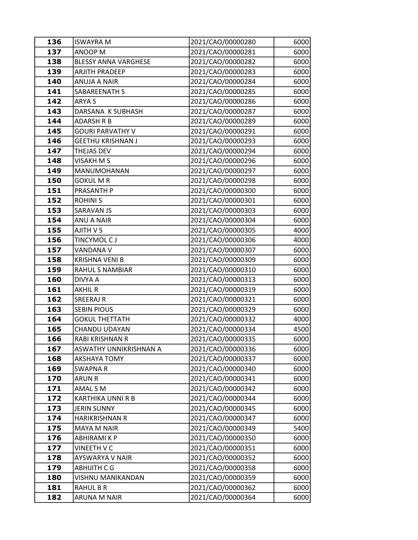| 136 | <b>ISWAYRA M</b>            | 2021/CAO/00000280 | 6000 |
|-----|-----------------------------|-------------------|------|
| 137 | ANOOP M                     | 2021/CAO/00000281 | 6000 |
| 138 | <b>BLESSY ANNA VARGHESE</b> | 2021/CAO/00000282 | 6000 |
| 139 | <b>ARJITH PRADEEP</b>       | 2021/CAO/00000283 | 6000 |
| 140 | <b>ANUJA A NAIR</b>         | 2021/CAO/00000284 | 6000 |
| 141 | SABAREENATH S               | 2021/CAO/00000285 | 6000 |
| 142 | ARYA S                      | 2021/CAO/00000286 | 6000 |
| 143 | DARSANA K SUBHASH           | 2021/CAO/00000287 | 6000 |
| 144 | <b>ADARSH R B</b>           | 2021/CAO/00000289 | 6000 |
| 145 | <b>GOURI PARVATHY V</b>     | 2021/CAO/00000291 | 6000 |
| 146 | <b>GEETHU KRISHNAN J</b>    | 2021/CAO/00000293 | 6000 |
| 147 | THEJAS DEV                  | 2021/CAO/00000294 | 6000 |
| 148 | <b>VISAKH M S</b>           | 2021/CAO/00000296 | 6000 |
| 149 | MANUMOHANAN                 | 2021/CAO/00000297 | 6000 |
| 150 | <b>GOKUL M R</b>            | 2021/CAO/00000298 | 6000 |
| 151 | PRASANTH P                  | 2021/CAO/00000300 | 6000 |
| 152 | <b>ROHINIS</b>              | 2021/CAO/00000301 | 6000 |
| 153 | <b>SARAVAN JS</b>           | 2021/CAO/00000303 | 6000 |
| 154 | <b>ANU A NAIR</b>           | 2021/CAO/00000304 | 6000 |
| 155 | AJITH V S                   | 2021/CAO/00000305 | 4000 |
| 156 | TINCYMOL CJ                 | 2021/CAO/00000306 | 4000 |
| 157 | <b>VANDANA V</b>            | 2021/CAO/00000307 | 6000 |
| 158 | <b>KRISHNA VENI B</b>       | 2021/CAO/00000309 | 6000 |
| 159 | <b>RAHUL S NAMBIAR</b>      | 2021/CAO/00000310 | 6000 |
| 160 | DIVYA A                     | 2021/CAO/00000313 | 6000 |
| 161 | <b>AKHIL R</b>              | 2021/CAO/00000319 | 6000 |
| 162 | SREERAJ R                   | 2021/CAO/00000321 | 6000 |
| 163 | <b>SEBIN PIOUS</b>          | 2021/CAO/00000329 | 6000 |
| 164 | <b>GOKUL THETTATH</b>       | 2021/CAO/00000332 | 4000 |
| 165 | CHANDU UDAYAN               | 2021/CAO/00000334 | 4500 |
| 166 | <b>RABI KRISHNAN R</b>      | 2021/CAO/00000335 | 6000 |
| 167 | ASWATHY UNNIKRISHNAN A      | 2021/CAO/00000336 | 6000 |
| 168 | AKSHAYA TOMY                | 2021/CAO/00000337 | 6000 |
| 169 | <b>SWAPNA R</b>             | 2021/CAO/00000340 | 6000 |
| 170 | <b>ARUN R</b>               | 2021/CAO/00000341 | 6000 |
| 171 | AMAL S M                    | 2021/CAO/00000342 | 6000 |
| 172 | KARTHIKA UNNI R B           | 2021/CAO/00000344 | 6000 |
| 173 | <b>JERIN SUNNY</b>          | 2021/CAO/00000345 | 6000 |
| 174 | <b>HARIKRISHNAN R</b>       | 2021/CAO/00000347 | 6000 |
| 175 | <b>MAYA M NAIR</b>          | 2021/CAO/00000349 | 5400 |
| 176 | <b>ABHIRAMIKP</b>           | 2021/CAO/00000350 | 6000 |
| 177 | VINEETH V C                 | 2021/CAO/00000351 | 6000 |
| 178 | AYSWARYA V NAIR             | 2021/CAO/00000352 | 6000 |
| 179 | <b>ABHIJITH C G</b>         | 2021/CAO/00000358 | 6000 |
| 180 | VISHNU MANIKANDAN           | 2021/CAO/00000359 | 6000 |
| 181 | <b>RAHUL B R</b>            | 2021/CAO/00000362 | 6000 |
| 182 | ARUNA M NAIR                | 2021/CAO/00000364 | 6000 |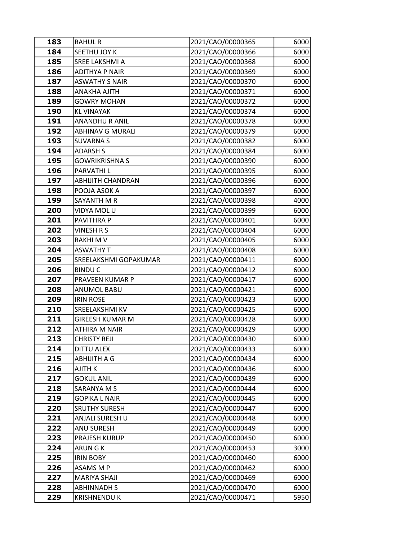| 183        | <b>RAHUL R</b>                      | 2021/CAO/00000365                      | 6000         |
|------------|-------------------------------------|----------------------------------------|--------------|
| 184        | SEETHU JOY K                        | 2021/CAO/00000366                      | 6000         |
| 185        | SREE LAKSHMI A                      | 2021/CAO/00000368                      | 6000         |
| 186        | <b>ADITHYA P NAIR</b>               | 2021/CAO/00000369                      | 6000         |
| 187        | <b>ASWATHY S NAIR</b>               | 2021/CAO/00000370                      | 6000         |
| 188        | <b>ANAKHA AJITH</b>                 | 2021/CAO/00000371                      | 6000         |
| 189        | <b>GOWRY MOHAN</b>                  | 2021/CAO/00000372                      | 6000         |
| 190        | <b>KL VINAYAK</b>                   | 2021/CAO/00000374                      | 6000         |
| 191        | <b>ANANDHU R ANIL</b>               | 2021/CAO/00000378                      | 6000         |
| 192        | <b>ABHINAV G MURALI</b>             | 2021/CAO/00000379                      | 6000         |
| 193        | <b>SUVARNA S</b>                    | 2021/CAO/00000382                      | 6000         |
| 194        | <b>ADARSH S</b>                     | 2021/CAO/00000384                      | 6000         |
| 195        | <b>GOWRIKRISHNA S</b>               | 2021/CAO/00000390                      | 6000         |
| 196        | PARVATHI L                          | 2021/CAO/00000395                      | 6000         |
| 197        | <b>ABHIJITH CHANDRAN</b>            | 2021/CAO/00000396                      | 6000         |
| 198        | POOJA ASOK A                        | 2021/CAO/00000397                      | 6000         |
| 199        | SAYANTH M R                         | 2021/CAO/00000398                      | 4000         |
| 200        | VIDYA MOL U                         | 2021/CAO/00000399                      | 6000         |
| 201        | PAVITHRA P                          | 2021/CAO/00000401                      | 6000         |
| 202        | VINESH R S                          | 2021/CAO/00000404                      | 6000         |
| 203        | <b>RAKHIMV</b>                      | 2021/CAO/00000405                      | 6000         |
| 204        | <b>ASWATHY T</b>                    | 2021/CAO/00000408                      | 6000         |
| 205        | SREELAKSHMI GOPAKUMAR               | 2021/CAO/00000411                      | 6000         |
| 206        | <b>BINDUC</b>                       | 2021/CAO/00000412                      | 6000         |
| 207        | PRAVEEN KUMAR P                     | 2021/CAO/00000417                      | 6000         |
| 208        | <b>ANUMOL BABU</b>                  | 2021/CAO/00000421                      | 6000         |
| 209        | <b>IRIN ROSE</b>                    | 2021/CAO/00000423                      | 6000         |
| 210        | SREELAKSHMI KV                      | 2021/CAO/00000425                      | 6000         |
| 211        | <b>GIREESH KUMAR M</b>              | 2021/CAO/00000428                      | 6000         |
| 212        | ATHIRA M NAIR                       | 2021/CAO/00000429                      | 6000         |
| 213        | CHRISTY REJI                        | 2021/CAO/00000430                      | 6000         |
| 214        | <b>DITTU ALEX</b>                   | 2021/CAO/00000433                      | 6000         |
| 215        | <b>ABHIJITH A G</b>                 | 2021/CAO/00000434                      | 6000         |
| 216<br>217 | <b>AJITH K</b><br><b>GOKUL ANIL</b> | 2021/CAO/00000436                      | 6000         |
| 218        | SARANYA M S                         | 2021/CAO/00000439<br>2021/CAO/00000444 | 6000         |
| 219        | GOPIKA L NAIR                       | 2021/CAO/00000445                      | 6000<br>6000 |
| 220        | <b>SRUTHY SURESH</b>                | 2021/CAO/00000447                      | 6000         |
| 221        | ANJALI SURESH U                     | 2021/CAO/00000448                      | 6000         |
| 222        | <b>ANU SURESH</b>                   | 2021/CAO/00000449                      | 6000         |
| 223        | PRAJESH KURUP                       | 2021/CAO/00000450                      | 6000         |
| 224        | ARUN G K                            | 2021/CAO/00000453                      | 3000         |
| 225        | <b>IRIN BOBY</b>                    | 2021/CAO/00000460                      | 6000         |
| 226        | ASAMS M P                           | 2021/CAO/00000462                      | 6000         |
| 227        | <b>MARIYA SHAJI</b>                 | 2021/CAO/00000469                      | 6000         |
| 228        | <b>ABHINNADH S</b>                  | 2021/CAO/00000470                      | 6000         |
| 229        | <b>KRISHNENDU K</b>                 | 2021/CAO/00000471                      | 5950         |
|            |                                     |                                        |              |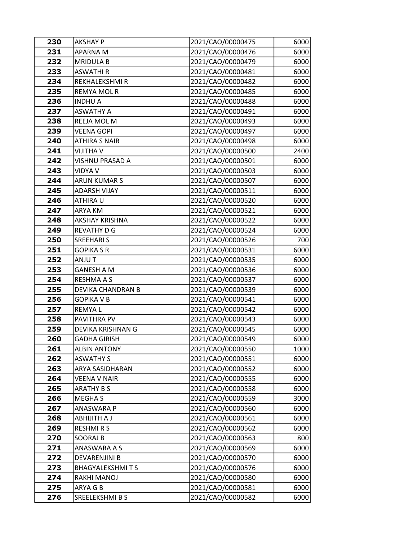| 230 | <b>AKSHAY P</b>        | 2021/CAO/00000475 | 6000 |
|-----|------------------------|-------------------|------|
| 231 | APARNA M               | 2021/CAO/00000476 | 6000 |
| 232 | <b>MRIDULA B</b>       | 2021/CAO/00000479 | 6000 |
| 233 | <b>ASWATHIR</b>        | 2021/CAO/00000481 | 6000 |
| 234 | REKHALEKSHMI R         | 2021/CAO/00000482 | 6000 |
| 235 | <b>REMYA MOL R</b>     | 2021/CAO/00000485 | 6000 |
| 236 | <b>INDHU A</b>         | 2021/CAO/00000488 | 6000 |
| 237 | <b>ASWATHY A</b>       | 2021/CAO/00000491 | 6000 |
| 238 | REEJA MOL M            | 2021/CAO/00000493 | 6000 |
| 239 | <b>VEENA GOPI</b>      | 2021/CAO/00000497 | 6000 |
| 240 | <b>ATHIRA S NAIR</b>   | 2021/CAO/00000498 | 6000 |
| 241 | <b>VIJITHA V</b>       | 2021/CAO/00000500 | 2400 |
| 242 | VISHNU PRASAD A        | 2021/CAO/00000501 | 6000 |
| 243 | <b>VIDYA V</b>         | 2021/CAO/00000503 | 6000 |
| 244 | <b>ARUN KUMAR S</b>    | 2021/CAO/00000507 | 6000 |
| 245 | <b>ADARSH VIJAY</b>    | 2021/CAO/00000511 | 6000 |
| 246 | ATHIRA U               | 2021/CAO/00000520 | 6000 |
| 247 | ARYA KM                | 2021/CAO/00000521 | 6000 |
| 248 | <b>AKSHAY KRISHNA</b>  | 2021/CAO/00000522 | 6000 |
| 249 | <b>REVATHY D G</b>     | 2021/CAO/00000524 | 6000 |
| 250 | <b>SREEHARI S</b>      | 2021/CAO/00000526 | 700  |
| 251 | <b>GOPIKA S R</b>      | 2021/CAO/00000531 | 6000 |
| 252 | ANJU T                 | 2021/CAO/00000535 | 6000 |
| 253 | <b>GANESH A M</b>      | 2021/CAO/00000536 | 6000 |
| 254 | <b>RESHMA A S</b>      | 2021/CAO/00000537 | 6000 |
| 255 | DEVIKA CHANDRAN B      | 2021/CAO/00000539 | 6000 |
| 256 | <b>GOPIKA V B</b>      | 2021/CAO/00000541 | 6000 |
| 257 | <b>REMYAL</b>          | 2021/CAO/00000542 | 6000 |
| 258 | PAVITHRA PV            | 2021/CAO/00000543 | 6000 |
| 259 | DEVIKA KRISHNAN G      | 2021/CAO/00000545 | 6000 |
| 260 | <b>GADHA GIRISH</b>    | 2021/CAO/00000549 | 6000 |
| 261 | <b>ALBIN ANTONY</b>    | 2021/CAO/00000550 | 1000 |
| 262 | <b>ASWATHY S</b>       | 2021/CAO/00000551 | 6000 |
| 263 | ARYA SASIDHARAN        | 2021/CAO/00000552 | 6000 |
| 264 | <b>VEENA V NAIR</b>    | 2021/CAO/00000555 | 6000 |
| 265 | <b>ARATHY B S</b>      | 2021/CAO/00000558 | 6000 |
| 266 | <b>MEGHAS</b>          | 2021/CAO/00000559 | 3000 |
| 267 | <b>ANASWARA P</b>      | 2021/CAO/00000560 | 6000 |
| 268 | <b>ABHIJITH A J</b>    | 2021/CAO/00000561 | 6000 |
| 269 | <b>RESHMIRS</b>        | 2021/CAO/00000562 | 6000 |
| 270 | <b>SOORAJ B</b>        | 2021/CAO/00000563 | 800  |
| 271 | ANASWARA A S           | 2021/CAO/00000569 | 6000 |
| 272 | DEVARENJINI B          | 2021/CAO/00000570 | 6000 |
| 273 | <b>BHAGYALEKSHMITS</b> | 2021/CAO/00000576 | 6000 |
| 274 | RAKHI MANOJ            | 2021/CAO/00000580 | 6000 |
| 275 | ARYA G B               | 2021/CAO/00000581 | 6000 |
| 276 | SREELEKSHMI B S        | 2021/CAO/00000582 | 6000 |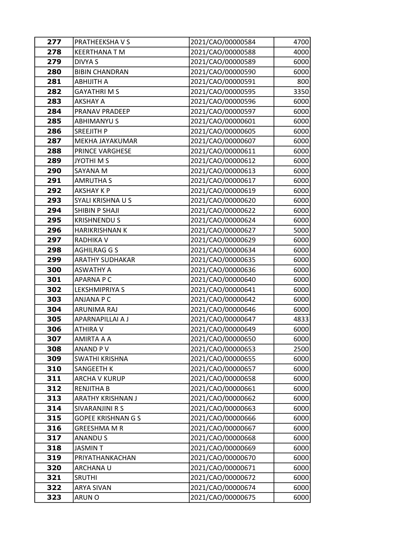| 277        | PRATHEEKSHAVS                      | 2021/CAO/00000584                      | 4700         |
|------------|------------------------------------|----------------------------------------|--------------|
| 278        | <b>KEERTHANA T M</b>               | 2021/CAO/00000588                      | 4000         |
| 279        | DIVYA S                            | 2021/CAO/00000589                      | 6000         |
| 280        | <b>BIBIN CHANDRAN</b>              | 2021/CAO/00000590                      | 6000         |
| 281        | <b>ABHIJITH A</b>                  | 2021/CAO/00000591                      | 800          |
| 282        | <b>GAYATHRI M S</b>                | 2021/CAO/00000595                      | 3350         |
| 283        | <b>AKSHAY A</b>                    | 2021/CAO/00000596                      | 6000         |
| 284        | PRANAV PRADEEP                     | 2021/CAO/00000597                      | 6000         |
| 285        | <b>ABHIMANYU S</b>                 | 2021/CAO/00000601                      | 6000         |
| 286        | <b>SREEJITH P</b>                  | 2021/CAO/00000605                      | 6000         |
| 287        | MEKHA JAYAKUMAR                    | 2021/CAO/00000607                      | 6000         |
| 288        | PRINCE VARGHESE                    | 2021/CAO/00000611                      | 6000         |
| 289        | JYOTHI M S                         | 2021/CAO/00000612                      | 6000         |
| 290        | SAYANA M                           | 2021/CAO/00000613                      | 6000         |
| 291        | <b>AMRUTHA S</b>                   | 2021/CAO/00000617                      | 6000         |
| 292        | AKSHAY K P                         | 2021/CAO/00000619                      | 6000         |
| 293        | SYALI KRISHNA U S                  | 2021/CAO/00000620                      | 6000         |
| 294        | SHIBIN P SHAJI                     | 2021/CAO/00000622                      | 6000         |
| 295        | <b>KRISHNENDU S</b>                | 2021/CAO/00000624                      | 6000         |
| 296        | HARIKRISHNAN K                     | 2021/CAO/00000627                      | 5000         |
| 297        | RADHIKA V                          | 2021/CAO/00000629                      | 6000         |
| 298        | <b>AGHILRAG G S</b>                | 2021/CAO/00000634                      | 6000         |
| 299        | <b>ARATHY SUDHAKAR</b>             | 2021/CAO/00000635                      | 6000         |
| 300        | <b>ASWATHY A</b>                   | 2021/CAO/00000636                      | 6000         |
| 301        | <b>APARNA P C</b>                  | 2021/CAO/00000640                      | 6000         |
| 302        | LEKSHMIPRIYA S                     | 2021/CAO/00000641                      | 6000         |
| 303        | <b>ANJANA P C</b>                  | 2021/CAO/00000642                      | 6000         |
| 304        | ARUNIMA RAJ                        | 2021/CAO/00000646                      | 6000         |
| 305        | APARNAPILLAI A J                   | 2021/CAO/00000647                      | 4833         |
| 306        | ATHIRA V                           | 2021/CAO/00000649                      | 6000         |
| 307        | AMIRTA A A                         | 2021/CAO/00000650                      | 6000         |
| 308        | <b>ANAND PV</b>                    | 2021/CAO/00000653                      | 2500         |
| 309        | SWATHI KRISHNA                     | 2021/CAO/00000655                      | 6000         |
| 310<br>311 | SANGEETH K<br><b>ARCHA V KURUP</b> | 2021/CAO/00000657<br>2021/CAO/00000658 | 6000<br>6000 |
| 312        | <b>RENJITHA B</b>                  | 2021/CAO/00000661                      | 6000         |
| 313        | ARATHY KRISHNAN J                  | 2021/CAO/00000662                      | 6000         |
| 314        | SIVARANJINI R S                    | 2021/CAO/00000663                      | 6000         |
| 315        | <b>GOPEE KRISHNAN G S</b>          | 2021/CAO/00000666                      | 6000         |
| 316        | <b>GREESHMA M R</b>                | 2021/CAO/00000667                      | 6000         |
| 317        | <b>ANANDUS</b>                     | 2021/CAO/00000668                      | 6000         |
| 318        | JASMIN T                           | 2021/CAO/00000669                      | 6000         |
| 319        | PRIYATHANKACHAN                    | 2021/CAO/00000670                      | 6000         |
| 320        | ARCHANA U                          | 2021/CAO/00000671                      | 6000         |
| 321        | <b>SRUTHI</b>                      | 2021/CAO/00000672                      | 6000         |
| 322        | <b>ARYA SIVAN</b>                  | 2021/CAO/00000674                      | 6000         |
| 323        | ARUN O                             | 2021/CAO/00000675                      | 6000         |
|            |                                    |                                        |              |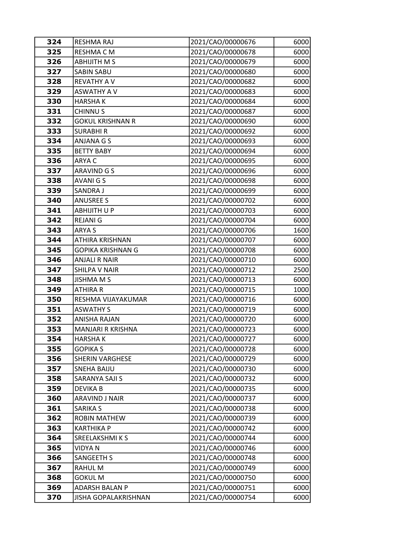| 324 | RESHMA RAJ               | 2021/CAO/00000676 | 6000 |
|-----|--------------------------|-------------------|------|
| 325 | RESHMA C M               | 2021/CAO/00000678 | 6000 |
| 326 | <b>ABHIJITH MS</b>       | 2021/CAO/00000679 | 6000 |
| 327 | <b>SABIN SABU</b>        | 2021/CAO/00000680 | 6000 |
| 328 | <b>REVATHY A V</b>       | 2021/CAO/00000682 | 6000 |
| 329 | <b>ASWATHY A V</b>       | 2021/CAO/00000683 | 6000 |
| 330 | <b>HARSHAK</b>           | 2021/CAO/00000684 | 6000 |
| 331 | <b>CHINNUS</b>           | 2021/CAO/00000687 | 6000 |
| 332 | <b>GOKUL KRISHNAN R</b>  | 2021/CAO/00000690 | 6000 |
| 333 | <b>SURABHIR</b>          | 2021/CAO/00000692 | 6000 |
| 334 | ANJANA G S               | 2021/CAO/00000693 | 6000 |
| 335 | <b>BETTY BABY</b>        | 2021/CAO/00000694 | 6000 |
| 336 | ARYA C                   | 2021/CAO/00000695 | 6000 |
| 337 | <b>ARAVIND GS</b>        | 2021/CAO/00000696 | 6000 |
| 338 | <b>AVANIGS</b>           | 2021/CAO/00000698 | 6000 |
| 339 | SANDRA J                 | 2021/CAO/00000699 | 6000 |
| 340 | <b>ANUSREE S</b>         | 2021/CAO/00000702 | 6000 |
| 341 | ABHIJITH U P             | 2021/CAO/00000703 | 6000 |
| 342 | <b>REJANI G</b>          | 2021/CAO/00000704 | 6000 |
| 343 | ARYA S                   | 2021/CAO/00000706 | 1600 |
| 344 | ATHIRA KRISHNAN          | 2021/CAO/00000707 | 6000 |
| 345 | <b>GOPIKA KRISHNAN G</b> | 2021/CAO/00000708 | 6000 |
| 346 | <b>ANJALI R NAIR</b>     | 2021/CAO/00000710 | 6000 |
| 347 | <b>SHILPA V NAIR</b>     | 2021/CAO/00000712 | 2500 |
| 348 | <b>JISHMA M S</b>        | 2021/CAO/00000713 | 6000 |
| 349 | <b>ATHIRA R</b>          | 2021/CAO/00000715 | 1000 |
| 350 | RESHMA VIJAYAKUMAR       | 2021/CAO/00000716 | 6000 |
| 351 | <b>ASWATHY S</b>         | 2021/CAO/00000719 | 6000 |
| 352 | ANISHA RAJAN             | 2021/CAO/00000720 | 6000 |
| 353 | MANJARI R KRISHNA        | 2021/CAO/00000723 | 6000 |
| 354 | <b>HARSHAK</b>           | 2021/CAO/00000727 | 6000 |
| 355 | <b>GOPIKA S</b>          | 2021/CAO/00000728 | 6000 |
| 356 | <b>SHERIN VARGHESE</b>   | 2021/CAO/00000729 | 6000 |
| 357 | <b>SNEHA BAIJU</b>       | 2021/CAO/00000730 | 6000 |
| 358 | SARANYA SAJI S           | 2021/CAO/00000732 | 6000 |
| 359 | <b>DEVIKAB</b>           | 2021/CAO/00000735 | 6000 |
| 360 | ARAVIND J NAIR           | 2021/CAO/00000737 | 6000 |
| 361 | SARIKA S                 | 2021/CAO/00000738 | 6000 |
| 362 | <b>ROBIN MATHEW</b>      | 2021/CAO/00000739 | 6000 |
| 363 | <b>KARTHIKA P</b>        | 2021/CAO/00000742 | 6000 |
| 364 | <b>SREELAKSHMIKS</b>     | 2021/CAO/00000744 | 6000 |
| 365 | VIDYA N                  | 2021/CAO/00000746 | 6000 |
| 366 | <b>SANGEETH S</b>        | 2021/CAO/00000748 | 6000 |
| 367 | RAHUL M                  | 2021/CAO/00000749 | 6000 |
| 368 | <b>GOKUL M</b>           | 2021/CAO/00000750 | 6000 |
| 369 | ADARSH BALAN P           | 2021/CAO/00000751 | 6000 |
| 370 | JISHA GOPALAKRISHNAN     | 2021/CAO/00000754 | 6000 |